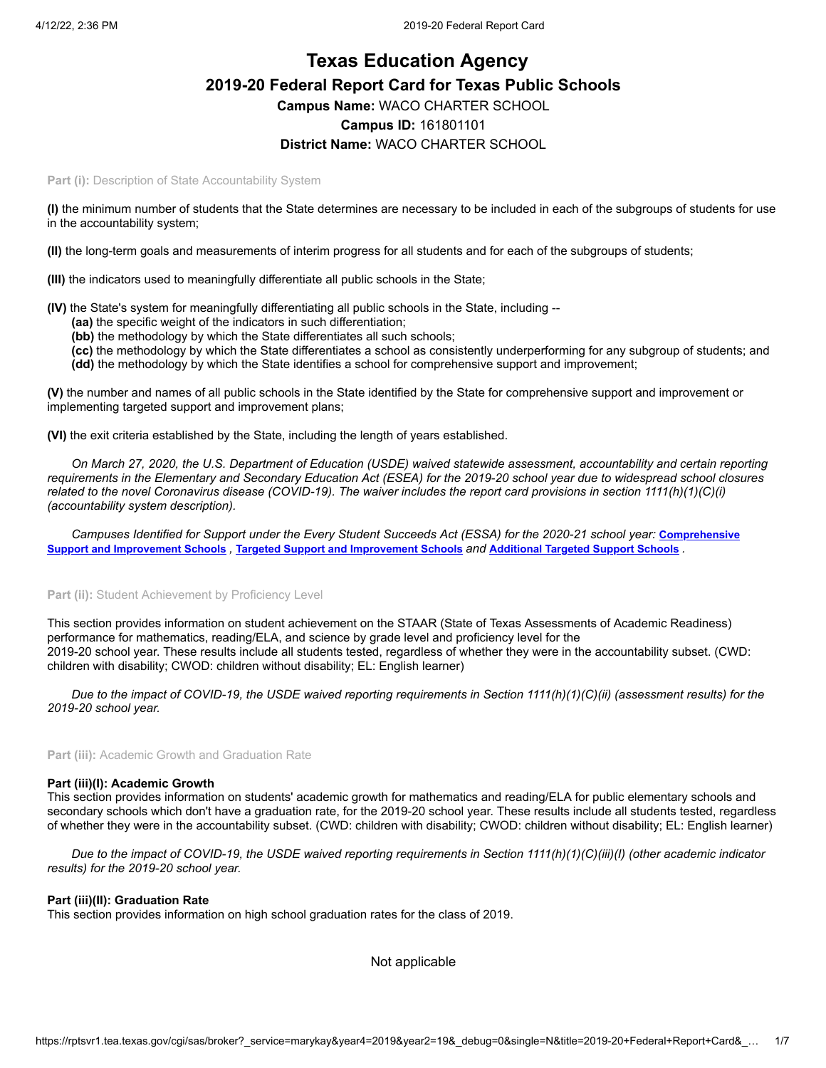# **Texas Education Agency 2019-20 Federal Report Card for Texas Public Schools Campus Name:** WACO CHARTER SCHOOL **Campus ID:** 161801101 **District Name:** WACO CHARTER SCHOOL

**Part (i): Description of State Accountability System** 

**(I)** the minimum number of students that the State determines are necessary to be included in each of the subgroups of students for use in the accountability system;

**(II)** the long-term goals and measurements of interim progress for all students and for each of the subgroups of students;

**(III)** the indicators used to meaningfully differentiate all public schools in the State;

**(IV)** the State's system for meaningfully differentiating all public schools in the State, including --

- **(aa)** the specific weight of the indicators in such differentiation;
- **(bb)** the methodology by which the State differentiates all such schools;
- **(cc)** the methodology by which the State differentiates a school as consistently underperforming for any subgroup of students; and **(dd)** the methodology by which the State identifies a school for comprehensive support and improvement;

**(V)** the number and names of all public schools in the State identified by the State for comprehensive support and improvement or implementing targeted support and improvement plans;

**(VI)** the exit criteria established by the State, including the length of years established.

*On March 27, 2020, the U.S. Department of Education (USDE) waived statewide assessment, accountability and certain reporting requirements in the Elementary and Secondary Education Act (ESEA) for the 2019-20 school year due to widespread school closures related to the novel Coronavirus disease (COVID-19). The waiver includes the report card provisions in section 1111(h)(1)(C)(i) (accountability system description).*

[Campuses Identified for Support under the Every Student Succeeds Act \(ESSA\) for the 2020-21 school year:](https://tea.texas.gov/sites/default/files/comprehensive_support_2020.xlsx) **Comprehensive** Support and [Improvement](https://tea.texas.gov/sites/default/files/targeted_support_2020.xlsx) Schools, Targeted Support and Improvement Schools and [Additional](https://tea.texas.gov/sites/default/files/additional_targeted_support_2020.xlsx) Targeted Support Schools.

### Part (ii): Student Achievement by Proficiency Level

This section provides information on student achievement on the STAAR (State of Texas Assessments of Academic Readiness) performance for mathematics, reading/ELA, and science by grade level and proficiency level for the 2019-20 school year. These results include all students tested, regardless of whether they were in the accountability subset. (CWD: children with disability; CWOD: children without disability; EL: English learner)

*Due to the impact of COVID-19, the USDE waived reporting requirements in Section 1111(h)(1)(C)(ii) (assessment results) for the 2019-20 school year.*

**Part (iii):** Academic Growth and Graduation Rate

#### **Part (iii)(I): Academic Growth**

This section provides information on students' academic growth for mathematics and reading/ELA for public elementary schools and secondary schools which don't have a graduation rate, for the 2019-20 school year. These results include all students tested, regardless of whether they were in the accountability subset. (CWD: children with disability; CWOD: children without disability; EL: English learner)

*Due to the impact of COVID-19, the USDE waived reporting requirements in Section 1111(h)(1)(C)(iii)(I) (other academic indicator results) for the 2019-20 school year.*

#### **Part (iii)(II): Graduation Rate**

This section provides information on high school graduation rates for the class of 2019.

Not applicable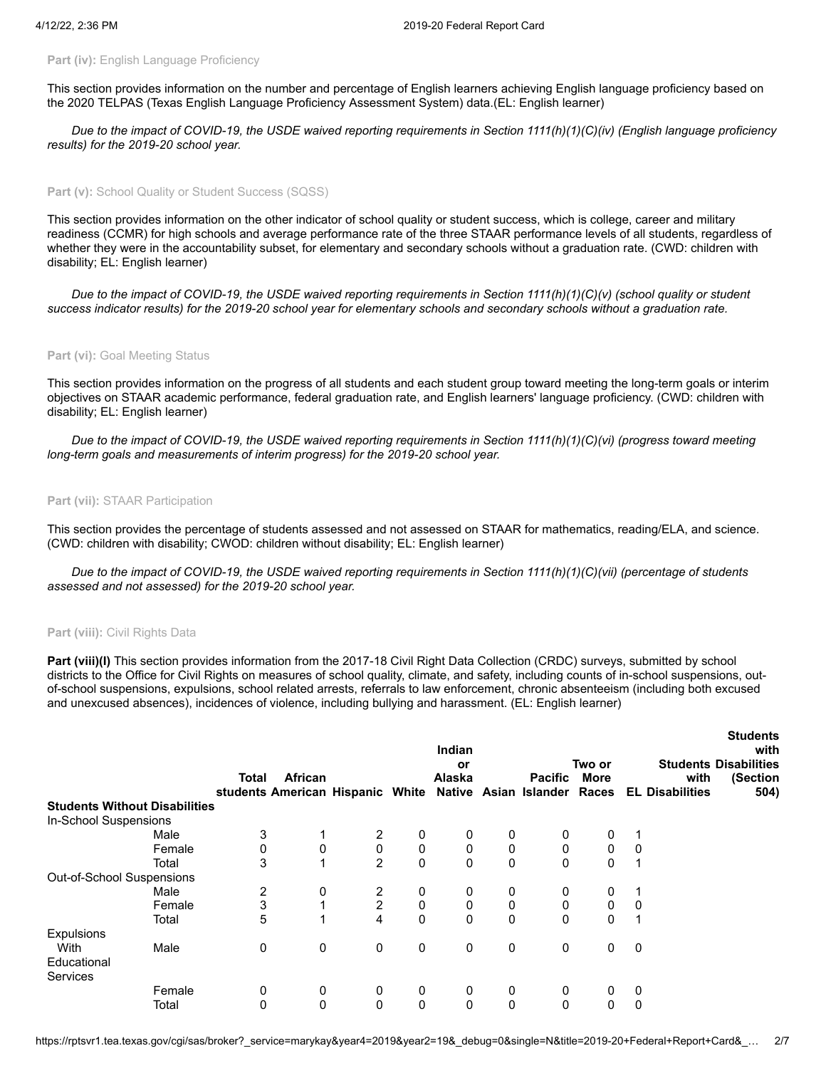### **Part (iv): English Language Proficiency**

This section provides information on the number and percentage of English learners achieving English language proficiency based on the 2020 TELPAS (Texas English Language Proficiency Assessment System) data.(EL: English learner)

*Due to the impact of COVID-19, the USDE waived reporting requirements in Section 1111(h)(1)(C)(iv) (English language proficiency results) for the 2019-20 school year.*

### Part (v): School Quality or Student Success (SQSS)

This section provides information on the other indicator of school quality or student success, which is college, career and military readiness (CCMR) for high schools and average performance rate of the three STAAR performance levels of all students, regardless of whether they were in the accountability subset, for elementary and secondary schools without a graduation rate. (CWD: children with disability; EL: English learner)

*Due to the impact of COVID-19, the USDE waived reporting requirements in Section 1111(h)(1)(C)(v) (school quality or student success indicator results) for the 2019-20 school year for elementary schools and secondary schools without a graduation rate.*

### Part (vi): Goal Meeting Status

This section provides information on the progress of all students and each student group toward meeting the long-term goals or interim objectives on STAAR academic performance, federal graduation rate, and English learners' language proficiency. (CWD: children with disability; EL: English learner)

*Due to the impact of COVID-19, the USDE waived reporting requirements in Section 1111(h)(1)(C)(vi) (progress toward meeting long-term goals and measurements of interim progress) for the 2019-20 school year.*

### **Part (vii):** STAAR Participation

This section provides the percentage of students assessed and not assessed on STAAR for mathematics, reading/ELA, and science. (CWD: children with disability; CWOD: children without disability; EL: English learner)

*Due to the impact of COVID-19, the USDE waived reporting requirements in Section 1111(h)(1)(C)(vii) (percentage of students assessed and not assessed) for the 2019-20 school year.*

#### **Part (viii):** Civil Rights Data

**Part (viii)(I)** This section provides information from the 2017-18 Civil Right Data Collection (CRDC) surveys, submitted by school districts to the Office for Civil Rights on measures of school quality, climate, and safety, including counts of in-school suspensions, outof-school suspensions, expulsions, school related arrests, referrals to law enforcement, chronic absenteeism (including both excused and unexcused absences), incidences of violence, including bullying and harassment. (EL: English learner)

**Students**

|                                      |        |       |         |                                  | Indian<br>Two or<br>or |        |              |                       |             |   | Students<br>with<br><b>Students Disabilities</b> |          |  |
|--------------------------------------|--------|-------|---------|----------------------------------|------------------------|--------|--------------|-----------------------|-------------|---|--------------------------------------------------|----------|--|
|                                      |        | Total | African |                                  |                        | Alaska |              | <b>Pacific</b>        | <b>More</b> |   | with                                             | (Section |  |
|                                      |        |       |         | students American Hispanic White |                        |        |              | Native Asian Islander | Races       |   | <b>EL Disabilities</b>                           | 504)     |  |
| <b>Students Without Disabilities</b> |        |       |         |                                  |                        |        |              |                       |             |   |                                                  |          |  |
| In-School Suspensions                |        |       |         |                                  |                        |        |              |                       |             |   |                                                  |          |  |
|                                      | Male   | 3     |         | 2                                | 0                      | 0      | 0            | 0                     | 0           |   |                                                  |          |  |
|                                      | Female | 0     | 0       | 0                                | 0                      | 0      | 0            | 0                     | 0           | 0 |                                                  |          |  |
|                                      | Total  | 3     |         | $\overline{2}$                   | $\mathbf 0$            | 0      | $\mathbf{0}$ | $\mathbf{0}$          | 0           | 1 |                                                  |          |  |
| Out-of-School Suspensions            |        |       |         |                                  |                        |        |              |                       |             |   |                                                  |          |  |
|                                      | Male   | 2     | 0       | 2                                | 0                      | 0      | 0            | 0                     | 0           | 1 |                                                  |          |  |
|                                      | Female | 3     |         | 2                                | 0                      | 0      | 0            | 0                     | 0           | 0 |                                                  |          |  |
|                                      | Total  | 5     |         | 4                                | $\mathbf 0$            | 0      | $\Omega$     | $\Omega$              | 0           | 1 |                                                  |          |  |
| Expulsions                           |        |       |         |                                  |                        |        |              |                       |             |   |                                                  |          |  |
| <b>With</b>                          | Male   | 0     | 0       | 0                                | 0                      | 0      | 0            | 0                     | 0           | 0 |                                                  |          |  |
| Educational                          |        |       |         |                                  |                        |        |              |                       |             |   |                                                  |          |  |
| <b>Services</b>                      |        |       |         |                                  |                        |        |              |                       |             |   |                                                  |          |  |
|                                      | Female | 0     | 0       | 0                                | 0                      | 0      | 0            | 0                     | 0           | 0 |                                                  |          |  |
|                                      | Total  | 0     | 0       | $\Omega$                         | $\mathbf 0$            | 0      | $\mathbf{0}$ | $\Omega$              | 0           | 0 |                                                  |          |  |
|                                      |        |       |         |                                  |                        |        |              |                       |             |   |                                                  |          |  |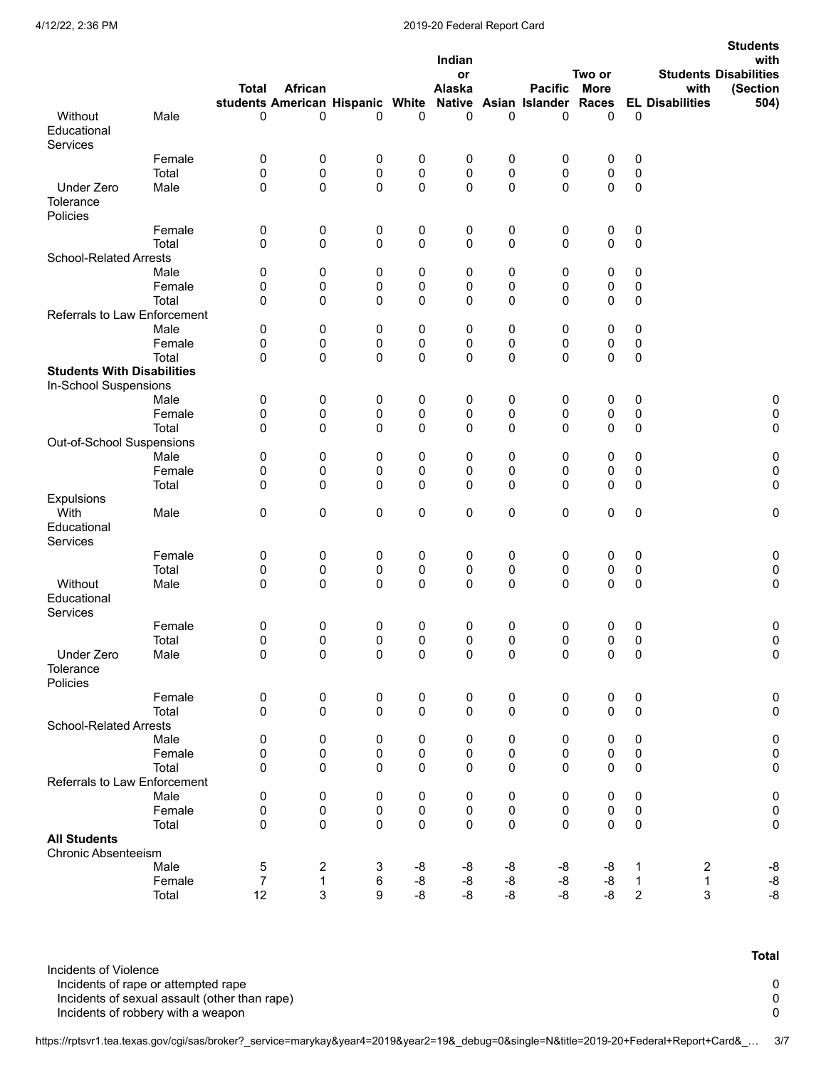# 4/12/22, 2:36 PM 2019-20 Federal Report Card

|                                                   |                 |                  |                                                                         |                |                        | Indian<br>or |                  |                | Two or         |                        |                        | <b>Students</b><br>with<br><b>Students Disabilities</b> |
|---------------------------------------------------|-----------------|------------------|-------------------------------------------------------------------------|----------------|------------------------|--------------|------------------|----------------|----------------|------------------------|------------------------|---------------------------------------------------------|
|                                                   |                 | <b>Total</b>     | African<br>students American Hispanic White Native Asian Islander Races |                |                        | Alaska       |                  | <b>Pacific</b> | <b>More</b>    |                        | with                   | (Section                                                |
| Without                                           | Male            | 0                | 0                                                                       | 0              | 0                      | 0            | $\mathbf 0$      | 0              | 0              | 0                      | <b>EL Disabilities</b> | 504)                                                    |
| Educational<br>Services                           |                 |                  |                                                                         |                |                        |              |                  |                |                |                        |                        |                                                         |
|                                                   | Female          | $\pmb{0}$        | $\pmb{0}$                                                               | 0              | 0                      | 0            | 0                | 0              | 0              | 0                      |                        |                                                         |
|                                                   | Total           | 0                | 0                                                                       | 0              | 0                      | 0            | 0                | $\mathbf 0$    | 0              | $\pmb{0}$              |                        |                                                         |
| Under Zero<br>Tolerance<br>Policies               | Male            | 0                | $\pmb{0}$                                                               | 0              | $\pmb{0}$              | 0            | 0                | 0              | $\mathbf 0$    | $\pmb{0}$              |                        |                                                         |
|                                                   | Female          | 0                | 0                                                                       | 0              | 0                      | 0            | 0                | 0              | 0              | 0                      |                        |                                                         |
|                                                   | Total           | 0                | $\pmb{0}$                                                               | 0              | $\mathbf 0$            | 0            | 0                | 0              | $\mathbf 0$    | $\pmb{0}$              |                        |                                                         |
| <b>School-Related Arrests</b>                     |                 |                  |                                                                         |                |                        |              |                  |                |                |                        |                        |                                                         |
|                                                   | Male<br>Female  | 0<br>0           | 0<br>0                                                                  | 0<br>0         | 0<br>0                 | 0<br>0       | 0<br>$\mathbf 0$ | 0<br>0         | 0<br>0         | 0<br>0                 |                        |                                                         |
|                                                   | Total           | 0                | 0                                                                       | 0              | 0                      | 0            | 0                | 0              | 0              | 0                      |                        |                                                         |
| Referrals to Law Enforcement                      |                 |                  |                                                                         |                |                        |              |                  |                |                |                        |                        |                                                         |
|                                                   | Male            | 0                | 0                                                                       | 0              | 0                      | 0            | 0                | 0              | 0              | 0                      |                        |                                                         |
|                                                   | Female          | 0                | 0                                                                       | $\pmb{0}$      | 0                      | 0            | 0                | $\mathbf 0$    | 0              | 0                      |                        |                                                         |
|                                                   | Total           | 0                | $\mathbf 0$                                                             | 0              | $\mathbf 0$            | 0            | 0                | $\Omega$       | $\Omega$       | $\pmb{0}$              |                        |                                                         |
| <b>Students With Disabilities</b>                 |                 |                  |                                                                         |                |                        |              |                  |                |                |                        |                        |                                                         |
| In-School Suspensions                             |                 |                  |                                                                         |                |                        |              |                  |                |                |                        |                        |                                                         |
|                                                   | Male<br>Female  | 0<br>$\pmb{0}$   | 0<br>$\pmb{0}$                                                          | 0<br>0         | 0<br>0                 | 0<br>0       | 0<br>0           | 0<br>0         | 0<br>$\pmb{0}$ | $\pmb{0}$<br>$\pmb{0}$ |                        | 0<br>0                                                  |
|                                                   | Total           | 0                | $\mathbf 0$                                                             | 0              | $\pmb{0}$              | 0            | 0                | 0              | 0              | 0                      |                        | 0                                                       |
| Out-of-School Suspensions                         |                 |                  |                                                                         |                |                        |              |                  |                |                |                        |                        |                                                         |
|                                                   | Male            | 0                | 0                                                                       | 0              | 0                      | 0            | 0                | 0              | 0              | 0                      |                        | 0                                                       |
|                                                   | Female          | 0                | 0                                                                       | 0              | 0                      | 0            | 0                | 0              | 0              | $\pmb{0}$              |                        | 0                                                       |
|                                                   | Total           | 0                | $\mathbf 0$                                                             | 0              | 0                      | 0            | $\mathbf 0$      | 0              | 0              | 0                      |                        | 0                                                       |
| Expulsions                                        |                 |                  |                                                                         |                |                        |              |                  |                |                |                        |                        |                                                         |
| With<br>Educational<br>Services                   | Male            | 0                | 0                                                                       | 0              | 0                      | 0            | $\mathbf 0$      | 0              | 0              | $\pmb{0}$              |                        | 0                                                       |
|                                                   | Female          | $\pmb{0}$        | $\pmb{0}$                                                               | 0              | 0                      | 0            | 0                | 0              | 0              | 0                      |                        | 0                                                       |
|                                                   | Total           | $\pmb{0}$        | $\pmb{0}$                                                               | $\pmb{0}$      | $\pmb{0}$              | 0            | $\pmb{0}$        | 0              | 0              | $\pmb{0}$              |                        | 0                                                       |
| Without<br>Educational                            | Male            | 0                | $\mathbf 0$                                                             | 0              | $\mathbf 0$            | 0            | $\Omega$         | $\Omega$       | $\Omega$       | $\pmb{0}$              |                        | 0                                                       |
| Services                                          | Female          | 0                | 0                                                                       | 0              | 0                      | 0            | 0                | 0              | 0              | 0                      |                        | 0                                                       |
|                                                   | Total           | $\mathbf{0}$     | $\mathbf{0}$                                                            | $\Omega$       | $\Omega$               | 0            | $\mathbf{0}$     | $\Omega$       | 0              | 0                      |                        | 0                                                       |
| Under Zero<br>Tolerance                           | Male            | $\pmb{0}$        | 0                                                                       | $\pmb{0}$      | $\pmb{0}$              | 0            | $\mathsf 0$      | 0              | $\pmb{0}$      | $\pmb{0}$              |                        | 0                                                       |
| Policies                                          |                 |                  |                                                                         |                |                        |              |                  |                |                |                        |                        |                                                         |
|                                                   | Female<br>Total | $\pmb{0}$<br>0   | $\pmb{0}$<br>0                                                          | $\pmb{0}$<br>0 | $\pmb{0}$<br>$\pmb{0}$ | 0<br>0       | $\pmb{0}$<br>0   | 0<br>0         | $\pmb{0}$<br>0 | $\pmb{0}$<br>$\pmb{0}$ |                        | 0<br>0                                                  |
| <b>School-Related Arrests</b>                     |                 |                  |                                                                         |                |                        |              |                  |                |                |                        |                        |                                                         |
|                                                   | Male            | 0                | 0                                                                       | 0              | 0                      | 0            | 0                | 0              | 0              | 0                      |                        | 0                                                       |
|                                                   | Female          | $\pmb{0}$        | $\pmb{0}$                                                               | 0              | $\pmb{0}$              | 0            | $\pmb{0}$        | 0              | 0              | $\pmb{0}$              |                        | 0                                                       |
|                                                   | Total           | 0                | 0                                                                       | 0              | $\pmb{0}$              | 0            | $\mathbf 0$      | $\mathbf 0$    | $\Omega$       | 0                      |                        | 0                                                       |
| Referrals to Law Enforcement                      |                 |                  |                                                                         |                |                        |              |                  |                |                |                        |                        |                                                         |
|                                                   | Male            | 0                | 0                                                                       | 0              | 0                      | 0            | 0                | 0              | 0              | 0                      |                        | 0                                                       |
|                                                   | Female          | $\pmb{0}$        | $\pmb{0}$                                                               | 0              | $\pmb{0}$              | 0            | $\pmb{0}$        | $\pmb{0}$      | 0              | $\pmb{0}$              |                        | 0                                                       |
|                                                   | Total           | $\pmb{0}$        | 0                                                                       | 0              | $\pmb{0}$              | 0            | 0                | $\mathbf 0$    | $\mathbf 0$    | $\pmb{0}$              |                        | 0                                                       |
| <b>All Students</b><br><b>Chronic Absenteeism</b> |                 |                  |                                                                         |                |                        |              |                  |                |                |                        |                        |                                                         |
|                                                   | Male            | $\mathbf 5$      | $\overline{c}$                                                          | 3              | -8                     | -8           | -8               | -8             | -8             | 1                      | $\boldsymbol{2}$       | $\textnormal{-}8$                                       |
|                                                   | Female          | $\boldsymbol{7}$ | $\mathbf{1}$                                                            | $\,6\,$        | $\mbox{-}8$            | $\mbox{-}8$  | -8               | -8             | -8             | $\mathbf{1}$           | 1                      | $\textnormal{-}8$                                       |
|                                                   | Total           | 12               | $\mathfrak{S}$                                                          | 9              | $-8$                   | $-8$         | -8               | -8             | -8             | $\overline{2}$         | 3                      | $-8$                                                    |

**Total**

https://rptsvr1.tea.texas.gov/cgi/sas/broker?\_service=marykay&year4=2019&year2=19&\_debug=0&single=N&title=2019-20+Federal+Report+Card&\_… 3/7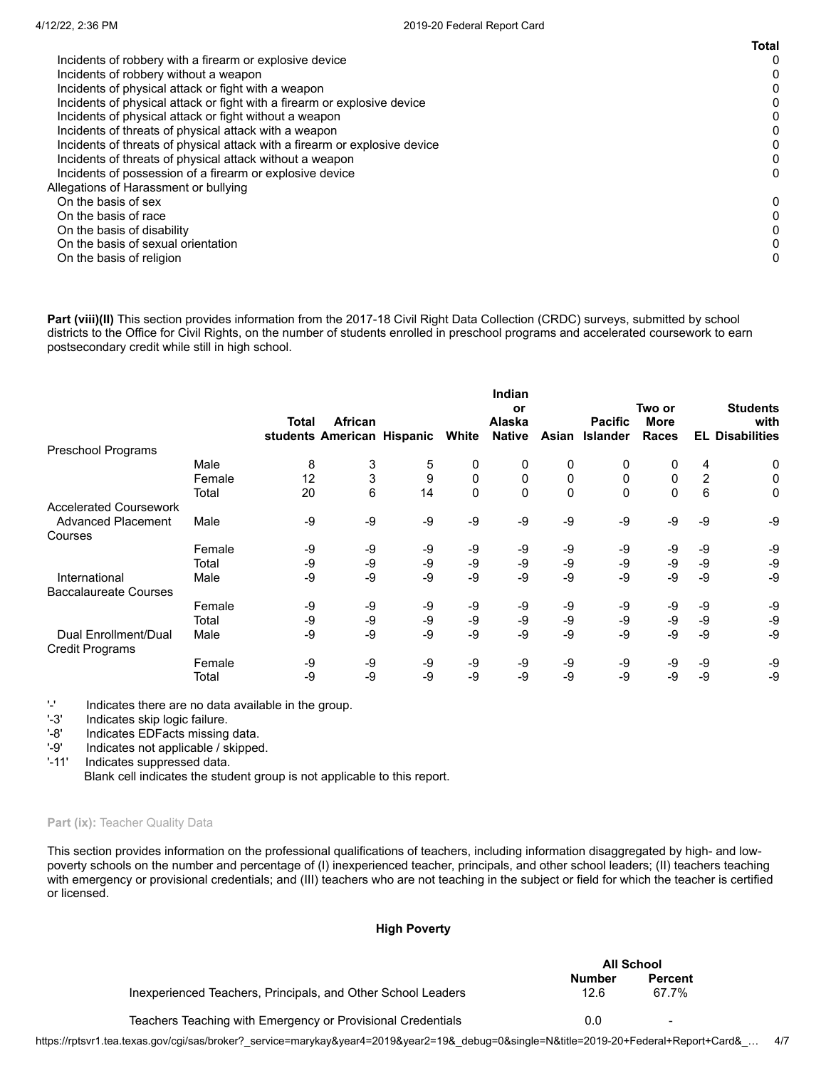|                                                                            | <b>Total</b> |
|----------------------------------------------------------------------------|--------------|
| Incidents of robbery with a firearm or explosive device                    | 0            |
| Incidents of robbery without a weapon                                      |              |
| Incidents of physical attack or fight with a weapon                        | 0            |
| Incidents of physical attack or fight with a firearm or explosive device   |              |
| Incidents of physical attack or fight without a weapon                     | 0            |
| Incidents of threats of physical attack with a weapon                      |              |
| Incidents of threats of physical attack with a firearm or explosive device |              |
| Incidents of threats of physical attack without a weapon                   | 0            |
| Incidents of possession of a firearm or explosive device                   | 0            |
| Allegations of Harassment or bullying                                      |              |
| On the basis of sex                                                        | 0            |
| On the basis of race                                                       | 0            |
| On the basis of disability                                                 |              |
| On the basis of sexual orientation                                         |              |
| On the basis of religion                                                   | 0            |
|                                                                            |              |

Part (viii)(II) This section provides information from the 2017-18 Civil Right Data Collection (CRDC) surveys, submitted by school districts to the Office for Civil Rights, on the number of students enrolled in preschool programs and accelerated coursework to earn postsecondary credit while still in high school.

|                               |        | Total | African<br>students American Hispanic |      | White        | Indian<br>or<br><b>Alaska</b><br><b>Native</b> | Asian | <b>Pacific</b><br><b>Islander</b> | Two or<br><b>More</b><br><b>Races</b> |                | <b>Students</b><br>with<br><b>EL Disabilities</b> |
|-------------------------------|--------|-------|---------------------------------------|------|--------------|------------------------------------------------|-------|-----------------------------------|---------------------------------------|----------------|---------------------------------------------------|
| Preschool Programs            |        |       |                                       |      |              |                                                |       |                                   |                                       |                |                                                   |
|                               | Male   | 8     | 3                                     | 5    | 0            | 0                                              | 0     | 0                                 | 0                                     | 4              | 0                                                 |
|                               | Female | 12    | 3                                     | 9    | 0            | $\mathbf 0$                                    | 0     | $\mathbf{0}$                      | 0                                     | $\overline{2}$ | 0                                                 |
|                               | Total  | 20    | 6                                     | 14   | $\mathbf{0}$ | 0                                              | 0     | $\Omega$                          | $\mathbf{0}$                          | 6              | 0                                                 |
| <b>Accelerated Coursework</b> |        |       |                                       |      |              |                                                |       |                                   |                                       |                |                                                   |
| <b>Advanced Placement</b>     | Male   | -9    | -9                                    | $-9$ | $-9$         | $-9$                                           | -9    | $-9$                              | $-9$                                  | -9             | -9                                                |
| Courses                       |        |       |                                       |      |              |                                                |       |                                   |                                       |                |                                                   |
|                               | Female | -9    | -9                                    | -9   | -9           | -9                                             | -9    | -9                                | -9                                    | -9             | -9                                                |
|                               | Total  | -9    | $-9$                                  | -9   | -9           | -9                                             | -9    | -9                                | -9                                    | $-9$           | -9                                                |
| International                 | Male   | -9    | $-9$                                  | $-9$ | $-9$         | -9                                             | -9    | -9                                | $-9$                                  | -9             | $-9$                                              |
| <b>Baccalaureate Courses</b>  |        |       |                                       |      |              |                                                |       |                                   |                                       |                |                                                   |
|                               | Female | -9    | -9                                    | -9   | -9           | -9                                             | -9    | -9                                | -9                                    | -9             | -9                                                |
|                               | Total  | -9    | $-9$                                  | -9   | $-9$         | -9                                             | -9    | -9                                | -9                                    | $-9$           | $-9$                                              |
| Dual Enrollment/Dual          | Male   | -9    | $-9$                                  | -9   | $-9$         | $-9$                                           | -9    | -9                                | $-9$                                  | -9             | $-9$                                              |
| <b>Credit Programs</b>        |        |       |                                       |      |              |                                                |       |                                   |                                       |                |                                                   |
|                               | Female | -9    | -9                                    | -9   | -9           | -9                                             | -9    | -9                                | -9                                    | -9             | -9                                                |
|                               | Total  | -9    | -9                                    | -9   | -9           | -9                                             | -9    | -9                                | -9                                    | -9             | -9                                                |

'-' Indicates there are no data available in the group.<br>'-3' Indicates skip logic failure.

Indicates skip logic failure.

'-8' Indicates EDFacts missing data.

'-9' Indicates not applicable / skipped.

'-11' Indicates suppressed data.

Blank cell indicates the student group is not applicable to this report.

# Part (ix): Teacher Quality Data

This section provides information on the professional qualifications of teachers, including information disaggregated by high- and lowpoverty schools on the number and percentage of (I) inexperienced teacher, principals, and other school leaders; (II) teachers teaching with emergency or provisional credentials; and (III) teachers who are not teaching in the subject or field for which the teacher is certified or licensed.

### **High Poverty**

|                                                              | All School     |                          |  |
|--------------------------------------------------------------|----------------|--------------------------|--|
| Inexperienced Teachers, Principals, and Other School Leaders | Number<br>12.6 | <b>Percent</b><br>67.7%  |  |
| Teachers Teaching with Emergency or Provisional Credentials  | 0.0            | $\overline{\phantom{a}}$ |  |

https://rptsvr1.tea.texas.gov/cgi/sas/broker?\_service=marykay&year4=2019&year2=19&\_debug=0&single=N&title=2019-20+Federal+Report+Card&\_… 4/7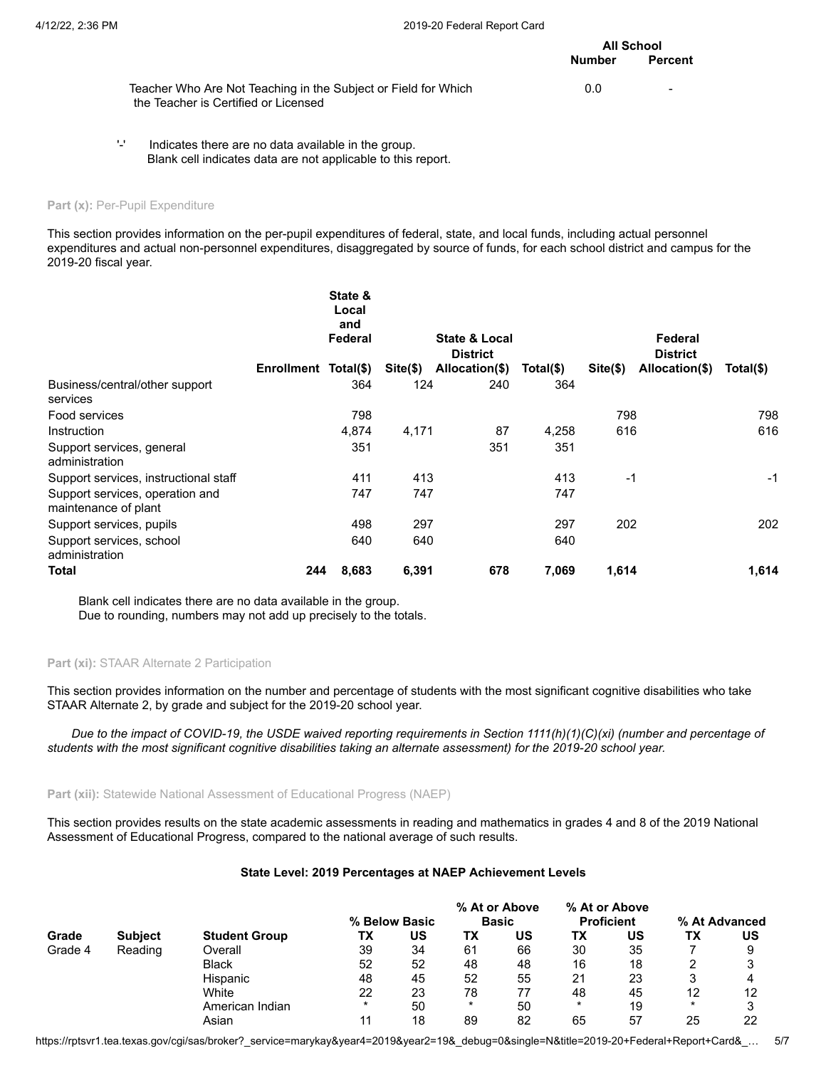# **All School Number Percent**

| Teacher Who Are Not Teaching in the Subject or Field for Which | 0.0 | - |
|----------------------------------------------------------------|-----|---|
| the Teacher is Certified or Licensed                           |     |   |

'-' Indicates there are no data available in the group. Blank cell indicates data are not applicable to this report.

### Part (x): Per-Pupil Expenditure

This section provides information on the per-pupil expenditures of federal, state, and local funds, including actual personnel expenditures and actual non-personnel expenditures, disaggregated by source of funds, for each school district and campus for the 2019-20 fiscal year.

|                                                         |                   | State &<br>Local<br>and |            |                                   |           |            |                                   |           |
|---------------------------------------------------------|-------------------|-------------------------|------------|-----------------------------------|-----------|------------|-----------------------------------|-----------|
|                                                         |                   | Federal                 |            | <b>State &amp; Local</b>          |           |            | Federal                           |           |
|                                                         | <b>Enrollment</b> | Total(\$)               | $Site(\$)$ | <b>District</b><br>Allocation(\$) | Total(\$) | $Site(\$)$ | <b>District</b><br>Allocation(\$) | Total(\$) |
| Business/central/other support<br>services              |                   | 364                     | 124        | 240                               | 364       |            |                                   |           |
| Food services                                           |                   | 798                     |            |                                   |           | 798        |                                   | 798       |
| Instruction                                             |                   | 4,874                   | 4,171      | 87                                | 4,258     | 616        |                                   | 616       |
| Support services, general<br>administration             |                   | 351                     |            | 351                               | 351       |            |                                   |           |
| Support services, instructional staff                   |                   | 411                     | 413        |                                   | 413       | $-1$       |                                   | $-1$      |
| Support services, operation and<br>maintenance of plant |                   | 747                     | 747        |                                   | 747       |            |                                   |           |
| Support services, pupils                                |                   | 498                     | 297        |                                   | 297       | 202        |                                   | 202       |
| Support services, school<br>administration              |                   | 640                     | 640        |                                   | 640       |            |                                   |           |
| Total                                                   | 244               | 8,683                   | 6,391      | 678                               | 7,069     | 1,614      |                                   | 1,614     |

Blank cell indicates there are no data available in the group. Due to rounding, numbers may not add up precisely to the totals.

### **Part (xi):** STAAR Alternate 2 Participation

This section provides information on the number and percentage of students with the most significant cognitive disabilities who take STAAR Alternate 2, by grade and subject for the 2019-20 school year.

*Due to the impact of COVID-19, the USDE waived reporting requirements in Section 1111(h)(1)(C)(xi) (number and percentage of students with the most significant cognitive disabilities taking an alternate assessment) for the 2019-20 school year.*

# **Part (xii):** Statewide National Assessment of Educational Progress (NAEP)

This section provides results on the state academic assessments in reading and mathematics in grades 4 and 8 of the 2019 National Assessment of Educational Progress, compared to the national average of such results.

## **State Level: 2019 Percentages at NAEP Achievement Levels**

|         |                |                      |               |    | % At or Above |    | % At or Above     |    |               |    |
|---------|----------------|----------------------|---------------|----|---------------|----|-------------------|----|---------------|----|
|         |                |                      | % Below Basic |    | <b>Basic</b>  |    | <b>Proficient</b> |    | % At Advanced |    |
| Grade   | <b>Subject</b> | <b>Student Group</b> | ΤХ            | US | TХ            | US | ΤХ                | US | ΤХ            | บร |
| Grade 4 | Reading        | Overall              | 39            | 34 | 61            | 66 | 30                | 35 |               | 9  |
|         |                | <b>Black</b>         | 52            | 52 | 48            | 48 | 16                | 18 |               |    |
|         |                | Hispanic             | 48            | 45 | 52            | 55 | 21                | 23 |               | 4  |
|         |                | White                | 22            | 23 | 78            | 77 | 48                | 45 | 12            | 12 |
|         |                | American Indian      | $\ast$        | 50 | *             | 50 |                   | 19 | $\ast$        | ິ  |
|         |                | Asian                |               | 18 | 89            | 82 | 65                | 57 | 25            | 22 |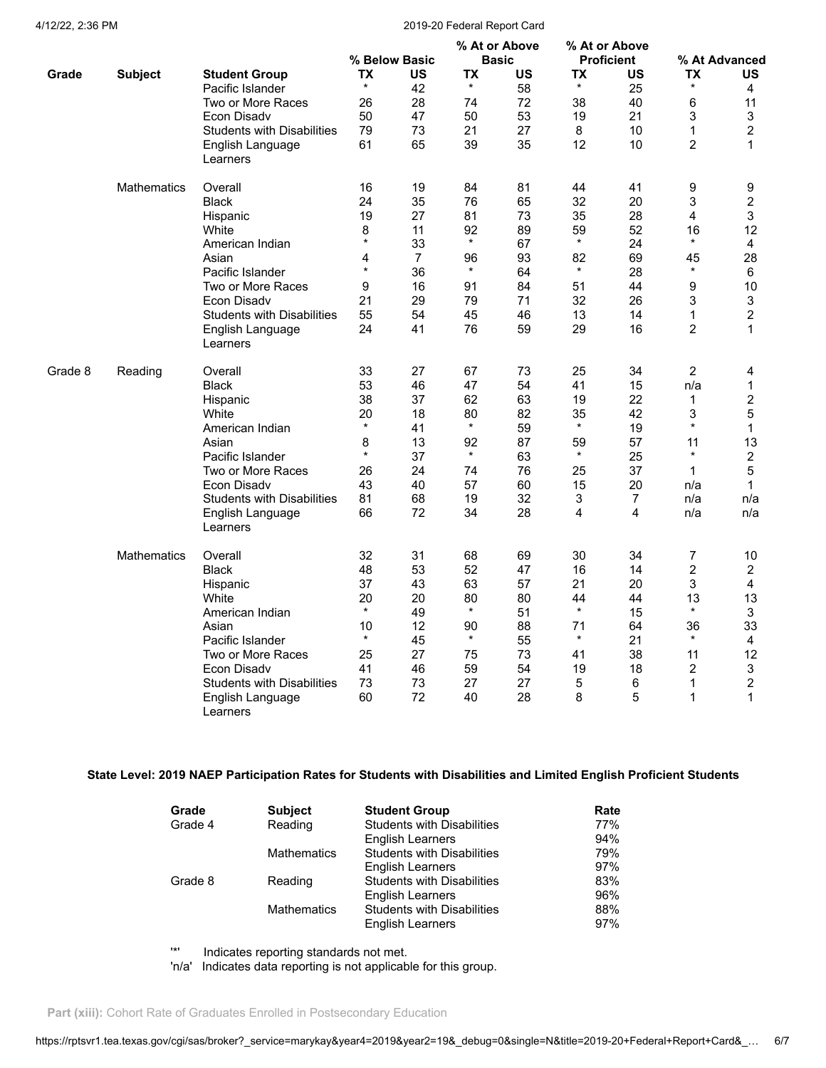### 4/12/22, 2:36 PM 2019-20 Federal Report Card

|         |                    |                                   |           | % Below Basic  |           | % At or Above<br><b>Basic</b> |           | % At or Above<br><b>Proficient</b> |                | % At Advanced  |
|---------|--------------------|-----------------------------------|-----------|----------------|-----------|-------------------------------|-----------|------------------------------------|----------------|----------------|
| Grade   | <b>Subject</b>     | <b>Student Group</b>              | <b>TX</b> | US             | <b>TX</b> | <b>US</b>                     | <b>TX</b> | US                                 | <b>TX</b>      | <b>US</b>      |
|         |                    | Pacific Islander                  | $^\star$  | 42             | $^\star$  | 58                            | $^\star$  | 25                                 | *              | 4              |
|         |                    | Two or More Races                 | 26        | 28             | 74        | 72                            | 38        | 40                                 | 6              | 11             |
|         |                    | Econ Disadv                       | 50        | 47             | 50        | 53                            | 19        | 21                                 | 3              | 3              |
|         |                    | <b>Students with Disabilities</b> | 79        | 73             | 21        | 27                            | 8         | 10                                 | $\mathbf{1}$   | $\overline{c}$ |
|         |                    | English Language                  | 61        | 65             | 39        | 35                            | 12        | 10                                 | $\overline{2}$ | 1              |
|         |                    | Learners                          |           |                |           |                               |           |                                    |                |                |
|         | <b>Mathematics</b> | Overall                           | 16        | 19             | 84        | 81                            | 44        | 41                                 | 9              | 9              |
|         |                    | <b>Black</b>                      | 24        | 35             | 76        | 65                            | 32        | 20                                 | 3              | $\overline{c}$ |
|         |                    | Hispanic                          | 19        | 27             | 81        | 73                            | 35        | 28                                 | 4              | 3              |
|         |                    | White                             | 8         | 11             | 92        | 89                            | 59        | 52                                 | 16             | 12             |
|         |                    | American Indian                   | $\star$   | 33             | $^\star$  | 67                            | $\star$   | 24                                 | $\star$        | 4              |
|         |                    | Asian                             | 4         | $\overline{7}$ | 96        | 93                            | 82        | 69                                 | 45             | 28             |
|         |                    | Pacific Islander                  | $\star$   | 36             | $\star$   | 64                            | $\star$   | 28                                 | $^\star$       | 6              |
|         |                    | Two or More Races                 | 9         | 16             | 91        | 84                            | 51        | 44                                 | 9              | 10             |
|         |                    | Econ Disady                       | 21        | 29             | 79        | 71                            | 32        | 26                                 | 3              | 3              |
|         |                    | <b>Students with Disabilities</b> | 55        | 54             | 45        | 46                            | 13        | 14                                 | $\mathbf 1$    | $\overline{c}$ |
|         |                    | English Language<br>Learners      | 24        | 41             | 76        | 59                            | 29        | 16                                 | $\overline{2}$ | 1              |
| Grade 8 | Reading            | Overall                           | 33        | 27             | 67        | 73                            | 25        | 34                                 | $\overline{2}$ | 4              |
|         |                    | <b>Black</b>                      | 53        | 46             | 47        | 54                            | 41        | 15                                 | n/a            | 1              |
|         |                    | Hispanic                          | 38        | 37             | 62        | 63                            | 19        | 22                                 | 1              | $\overline{c}$ |
|         |                    | White                             | 20        | 18             | 80        | 82                            | 35        | 42                                 | 3              | 5              |
|         |                    | American Indian                   | $\star$   | 41             | $\star$   | 59                            | $\star$   | 19                                 | $\star$        | $\mathbf{1}$   |
|         |                    | Asian                             | 8         | 13             | 92        | 87                            | 59        | 57                                 | 11             | 13             |
|         |                    | Pacific Islander                  | $\star$   | 37             | $\star$   | 63                            | $\star$   | 25                                 | $\star$        | $\overline{c}$ |
|         |                    | Two or More Races                 | 26        | 24             | 74        | 76                            | 25        | 37                                 | 1              | 5              |
|         |                    | Econ Disadv                       | 43        | 40             | 57        | 60                            | 15        | 20                                 | n/a            | 1              |
|         |                    | <b>Students with Disabilities</b> | 81        | 68             | 19        | 32                            | 3         | $\overline{7}$                     | n/a            | n/a            |
|         |                    | English Language<br>Learners      | 66        | 72             | 34        | 28                            | 4         | 4                                  | n/a            | n/a            |
|         | <b>Mathematics</b> | Overall                           | 32        | 31             | 68        | 69                            | 30        | 34                                 | 7              | $10$           |
|         |                    | <b>Black</b>                      | 48        | 53             | 52        | 47                            | 16        | 14                                 | 2              | $\overline{2}$ |
|         |                    | Hispanic                          | 37        | 43             | 63        | 57                            | 21        | 20                                 | 3              | 4              |
|         |                    | White                             | 20        | 20             | 80        | 80                            | 44        | 44                                 | 13             | 13             |
|         |                    | American Indian                   | $^\star$  | 49             | $^\star$  | 51                            | $\star$   | 15                                 | $\star$        | $\mathfrak{S}$ |
|         |                    | Asian                             | 10        | 12             | 90        | 88                            | 71        | 64                                 | 36             | 33             |
|         |                    | Pacific Islander                  | $\star$   | 45             | $\star$   | 55                            | $\star$   | 21                                 | $\star$        | 4              |
|         |                    | Two or More Races                 | 25        | 27             | 75        | 73                            | 41        | 38                                 | 11             | 12             |
|         |                    | Econ Disady                       | 41        | 46             | 59        | 54                            | 19        | 18                                 | $\overline{2}$ | 3              |
|         |                    | <b>Students with Disabilities</b> | 73        | 73             | 27        | 27                            | 5         | 6                                  | $\mathbf 1$    | $\overline{c}$ |
|         |                    | English Language<br>Learners      | 60        | 72             | 40        | 28                            | 8         | 5                                  | 1              | 1              |

# **State Level: 2019 NAEP Participation Rates for Students with Disabilities and Limited English Proficient Students**

| Grade   | <b>Subject</b>     | <b>Student Group</b>              | Rate |
|---------|--------------------|-----------------------------------|------|
| Grade 4 | Reading            | <b>Students with Disabilities</b> | 77%  |
|         |                    | <b>English Learners</b>           | 94%  |
|         | <b>Mathematics</b> | <b>Students with Disabilities</b> | 79%  |
|         |                    | English Learners                  | 97%  |
| Grade 8 | Reading            | <b>Students with Disabilities</b> | 83%  |
|         |                    | <b>English Learners</b>           | 96%  |
|         | <b>Mathematics</b> | <b>Students with Disabilities</b> | 88%  |
|         |                    | <b>English Learners</b>           | 97%  |

'\*' Indicates reporting standards not met.

'n/a' Indicates data reporting is not applicable for this group.

Part (xiii): Cohort Rate of Graduates Enrolled in Postsecondary Education